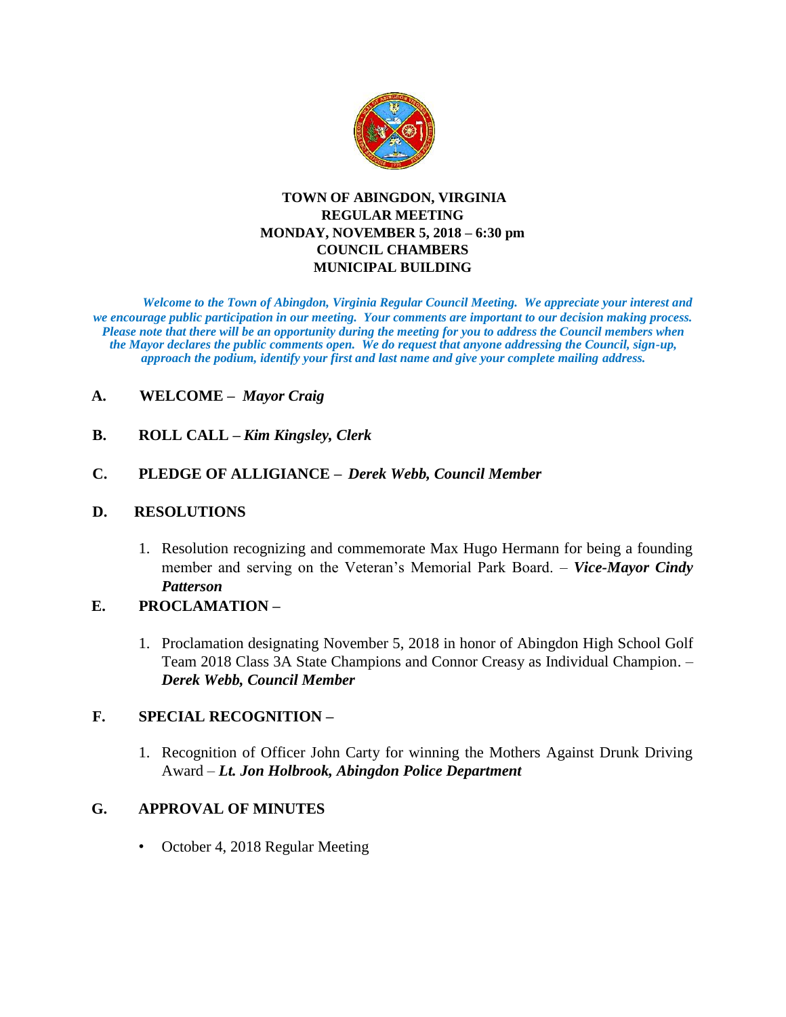

#### **TOWN OF ABINGDON, VIRGINIA REGULAR MEETING MONDAY, NOVEMBER 5, 2018 – 6:30 pm COUNCIL CHAMBERS MUNICIPAL BUILDING**

*Welcome to the Town of Abingdon, Virginia Regular Council Meeting. We appreciate your interest and we encourage public participation in our meeting. Your comments are important to our decision making process. Please note that there will be an opportunity during the meeting for you to address the Council members when the Mayor declares the public comments open. We do request that anyone addressing the Council, sign-up, approach the podium, identify your first and last name and give your complete mailing address.* 

# **A. WELCOME –** *Mayor Craig*

**B. ROLL CALL –** *Kim Kingsley, Clerk*

# **C. PLEDGE OF ALLIGIANCE –** *Derek Webb, Council Member*

#### **D. RESOLUTIONS**

1. Resolution recognizing and commemorate Max Hugo Hermann for being a founding member and serving on the Veteran's Memorial Park Board. – *Vice-Mayor Cindy Patterson*

# **E. PROCLAMATION –**

1. Proclamation designating November 5, 2018 in honor of Abingdon High School Golf Team 2018 Class 3A State Champions and Connor Creasy as Individual Champion. – *Derek Webb, Council Member*

## **F. SPECIAL RECOGNITION –**

1. Recognition of Officer John Carty for winning the Mothers Against Drunk Driving Award – *Lt. Jon Holbrook, Abingdon Police Department*

# **G. APPROVAL OF MINUTES**

• October 4, 2018 Regular Meeting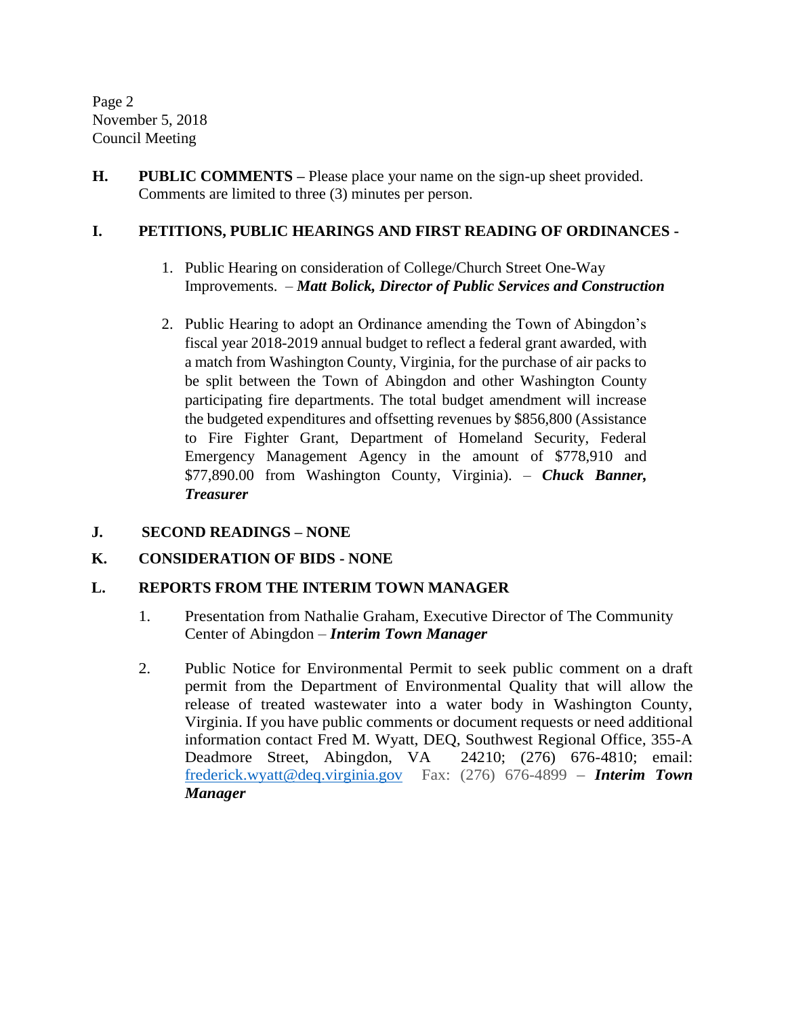Page 2 November 5, 2018 Council Meeting

**H. PUBLIC COMMENTS –** Please place your name on the sign-up sheet provided. Comments are limited to three (3) minutes per person.

## **I. PETITIONS, PUBLIC HEARINGS AND FIRST READING OF ORDINANCES -**

- 1. Public Hearing on consideration of College/Church Street One-Way Improvements. – *Matt Bolick, Director of Public Services and Construction*
- 2. Public Hearing to adopt an Ordinance amending the Town of Abingdon's fiscal year 2018-2019 annual budget to reflect a federal grant awarded, with a match from Washington County, Virginia, for the purchase of air packs to be split between the Town of Abingdon and other Washington County participating fire departments. The total budget amendment will increase the budgeted expenditures and offsetting revenues by \$856,800 (Assistance to Fire Fighter Grant, Department of Homeland Security, Federal Emergency Management Agency in the amount of \$778,910 and \$77,890.00 from Washington County, Virginia). – *Chuck Banner, Treasurer*
- **J. SECOND READINGS – NONE**

## **K. CONSIDERATION OF BIDS - NONE**

#### **L. REPORTS FROM THE INTERIM TOWN MANAGER**

- 1. Presentation from Nathalie Graham, Executive Director of The Community Center of Abingdon – *Interim Town Manager*
- 2. Public Notice for Environmental Permit to seek public comment on a draft permit from the Department of Environmental Quality that will allow the release of treated wastewater into a water body in Washington County, Virginia. If you have public comments or document requests or need additional information contact Fred M. Wyatt, DEQ, Southwest Regional Office, 355-A Deadmore Street, Abingdon, VA 24210; (276) 676-4810; email: [frederick.wyatt@deq.virginia.gov](mailto:frederick.wyatt@deq.virginia.gov) Fax: (276) 676-4899 – *Interim Town Manager*